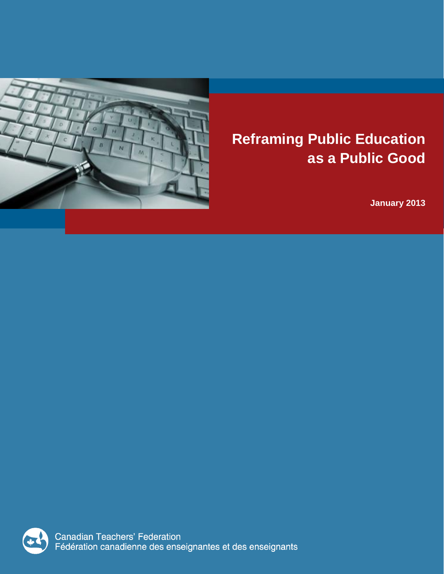

# **Reframing Public Education as a Public Good**

**January 2013**



Canadian Teachers' Federation<br>Fédération canadienne des enseignantes et des enseignants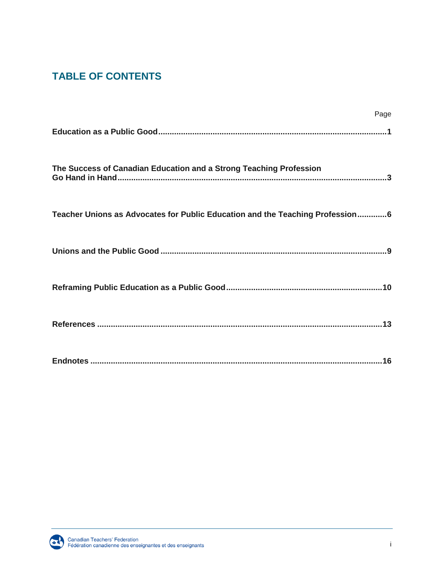## **TABLE OF CONTENTS**

|                                                                               | Page |
|-------------------------------------------------------------------------------|------|
|                                                                               |      |
| The Success of Canadian Education and a Strong Teaching Profession            |      |
| Teacher Unions as Advocates for Public Education and the Teaching Profession6 |      |
|                                                                               |      |
|                                                                               |      |
|                                                                               |      |
|                                                                               |      |

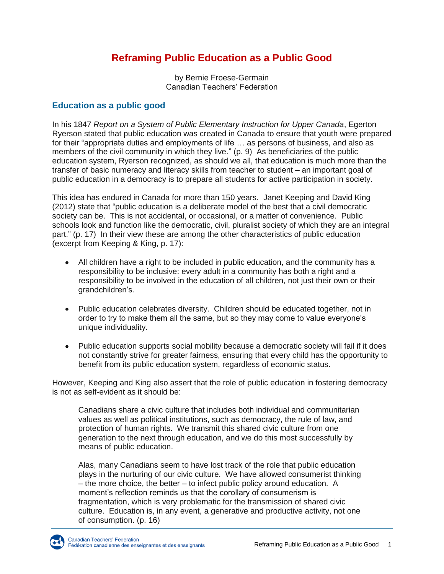## **Reframing Public Education as a Public Good**

by Bernie Froese-Germain Canadian Teachers' Federation

#### **Education as a public good**

In his 1847 *Report on a System of Public Elementary Instruction for Upper Canada*, Egerton Ryerson stated that public education was created in Canada to ensure that youth were prepared for their "appropriate duties and employments of life … as persons of business, and also as members of the civil community in which they live." (p. 9) As beneficiaries of the public education system, Ryerson recognized, as should we all, that education is much more than the transfer of basic numeracy and literacy skills from teacher to student – an important goal of public education in a democracy is to prepare all students for active participation in society.

This idea has endured in Canada for more than 150 years. Janet Keeping and David King (2012) state that "public education is a deliberate model of the best that a civil democratic society can be. This is not accidental, or occasional, or a matter of convenience. Public schools look and function like the democratic, civil, pluralist society of which they are an integral part." (p. 17) In their view these are among the other characteristics of public education (excerpt from Keeping & King, p. 17):

- All children have a right to be included in public education, and the community has a responsibility to be inclusive: every adult in a community has both a right and a responsibility to be involved in the education of all children, not just their own or their grandchildren's.
- Public education celebrates diversity. Children should be educated together, not in order to try to make them all the same, but so they may come to value everyone's unique individuality.
- Public education supports social mobility because a democratic society will fail if it does not constantly strive for greater fairness, ensuring that every child has the opportunity to benefit from its public education system, regardless of economic status.

However, Keeping and King also assert that the role of public education in fostering democracy is not as self-evident as it should be:

Canadians share a civic culture that includes both individual and communitarian values as well as political institutions, such as democracy, the rule of law, and protection of human rights. We transmit this shared civic culture from one generation to the next through education, and we do this most successfully by means of public education.

Alas, many Canadians seem to have lost track of the role that public education plays in the nurturing of our civic culture. We have allowed consumerist thinking – the more choice, the better – to infect public policy around education. A moment's reflection reminds us that the corollary of consumerism is fragmentation, which is very problematic for the transmission of shared civic culture. Education is, in any event, a generative and productive activity, not one of consumption. (p. 16)

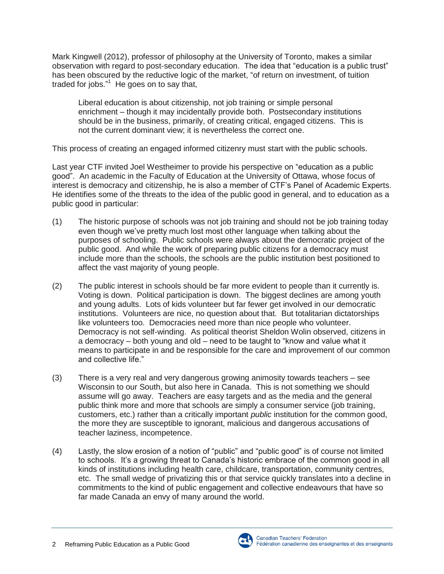Mark Kingwell (2012), professor of philosophy at the University of Toronto, makes a similar observation with regard to post-secondary education. The idea that "education is a public trust" has been obscured by the reductive logic of the market, "of return on investment, of tuition traded for jobs." 1 He goes on to say that,

Liberal education is about citizenship, not job training or simple personal enrichment – though it may incidentally provide both. Postsecondary institutions should be in the business, primarily, of creating critical, engaged citizens. This is not the current dominant view; it is nevertheless the correct one.

This process of creating an engaged informed citizenry must start with the public schools.

Last year CTF invited Joel Westheimer to provide his perspective on "education as a public good". An academic in the Faculty of Education at the University of Ottawa, whose focus of interest is democracy and citizenship, he is also a member of CTF's Panel of Academic Experts. He identifies some of the threats to the idea of the public good in general, and to education as a public good in particular:

- (1) The historic purpose of schools was not job training and should not be job training today even though we've pretty much lost most other language when talking about the purposes of schooling. Public schools were always about the democratic project of the public good. And while the work of preparing public citizens for a democracy must include more than the schools, the schools are the public institution best positioned to affect the vast majority of young people.
- (2) The public interest in schools should be far more evident to people than it currently is. Voting is down. Political participation is down. The biggest declines are among youth and young adults. Lots of kids volunteer but far fewer get involved in our democratic institutions. Volunteers are nice, no question about that. But totalitarian dictatorships like volunteers too. Democracies need more than nice people who volunteer. Democracy is not self-winding. As political theorist Sheldon Wolin observed, citizens in a democracy – both young and old – need to be taught to "know and value what it means to participate in and be responsible for the care and improvement of our common and collective life."
- (3) There is a very real and very dangerous growing animosity towards teachers see Wisconsin to our South, but also here in Canada. This is not something we should assume will go away. Teachers are easy targets and as the media and the general public think more and more that schools are simply a consumer service (job training, customers, etc.) rather than a critically important *public* institution for the common good, the more they are susceptible to ignorant, malicious and dangerous accusations of teacher laziness, incompetence.
- (4) Lastly, the slow erosion of a notion of "public" and "public good" is of course not limited to schools. It's a growing threat to Canada's historic embrace of the common good in all kinds of institutions including health care, childcare, transportation, community centres, etc. The small wedge of privatizing this or that service quickly translates into a decline in commitments to the kind of public engagement and collective endeavours that have so far made Canada an envy of many around the world.

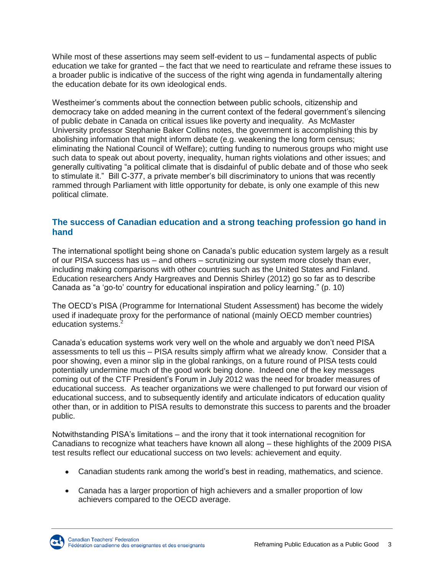While most of these assertions may seem self-evident to us – fundamental aspects of public education we take for granted – the fact that we need to rearticulate and reframe these issues to a broader public is indicative of the success of the right wing agenda in fundamentally altering the education debate for its own ideological ends.

Westheimer's comments about the connection between public schools, citizenship and democracy take on added meaning in the current context of the federal government's silencing of public debate in Canada on critical issues like poverty and inequality. As McMaster University professor Stephanie Baker Collins notes, the government is accomplishing this by abolishing information that might inform debate (e.g. weakening the long form census; eliminating the National Council of Welfare); cutting funding to numerous groups who might use such data to speak out about poverty, inequality, human rights violations and other issues; and generally cultivating "a political climate that is disdainful of public debate and of those who seek to stimulate it." Bill C-377, a private member's bill discriminatory to unions that was recently rammed through Parliament with little opportunity for debate, is only one example of this new political climate.

#### **The success of Canadian education and a strong teaching profession go hand in hand**

The international spotlight being shone on Canada's public education system largely as a result of our PISA success has us – and others – scrutinizing our system more closely than ever, including making comparisons with other countries such as the United States and Finland. Education researchers Andy Hargreaves and Dennis Shirley (2012) go so far as to describe Canada as "a 'go-to' country for educational inspiration and policy learning." (p. 10)

The OECD's PISA (Programme for International Student Assessment) has become the widely used if inadequate proxy for the performance of national (mainly OECD member countries) education systems.<sup>2</sup>

Canada's education systems work very well on the whole and arguably we don't need PISA assessments to tell us this – PISA results simply affirm what we already know. Consider that a poor showing, even a minor slip in the global rankings, on a future round of PISA tests could potentially undermine much of the good work being done. Indeed one of the key messages coming out of the CTF President's Forum in July 2012 was the need for broader measures of educational success. As teacher organizations we were challenged to put forward our vision of educational success, and to subsequently identify and articulate indicators of education quality other than, or in addition to PISA results to demonstrate this success to parents and the broader public.

Notwithstanding PISA's limitations – and the irony that it took international recognition for Canadians to recognize what teachers have known all along – these highlights of the 2009 PISA test results reflect our educational success on two levels: achievement and equity.

- Canadian students rank among the world's best in reading, mathematics, and science.
- Canada has a larger proportion of high achievers and a smaller proportion of low achievers compared to the OECD average.

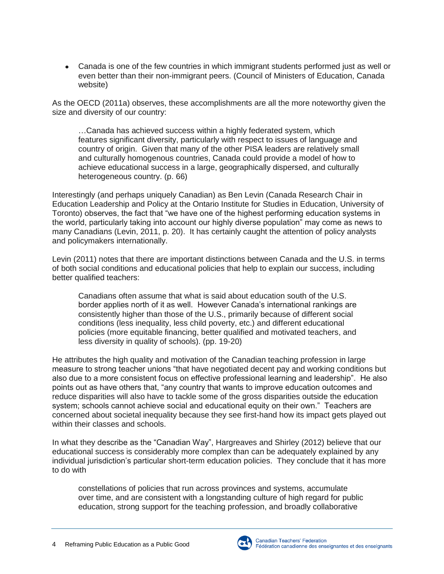Canada is one of the few countries in which immigrant students performed just as well or even better than their non-immigrant peers. (Council of Ministers of Education, Canada website)

As the OECD (2011a) observes, these accomplishments are all the more noteworthy given the size and diversity of our country:

…Canada has achieved success within a highly federated system, which features significant diversity, particularly with respect to issues of language and country of origin. Given that many of the other PISA leaders are relatively small and culturally homogenous countries, Canada could provide a model of how to achieve educational success in a large, geographically dispersed, and culturally heterogeneous country. (p. 66)

Interestingly (and perhaps uniquely Canadian) as Ben Levin (Canada Research Chair in Education Leadership and Policy at the Ontario Institute for Studies in Education, University of Toronto) observes, the fact that "we have one of the highest performing education systems in the world, particularly taking into account our highly diverse population" may come as news to many Canadians (Levin, 2011, p. 20). It has certainly caught the attention of policy analysts and policymakers internationally.

Levin (2011) notes that there are important distinctions between Canada and the U.S. in terms of both social conditions and educational policies that help to explain our success, including better qualified teachers:

Canadians often assume that what is said about education south of the U.S. border applies north of it as well. However Canada's international rankings are consistently higher than those of the U.S., primarily because of different social conditions (less inequality, less child poverty, etc.) and different educational policies (more equitable financing, better qualified and motivated teachers, and less diversity in quality of schools). (pp. 19-20)

He attributes the high quality and motivation of the Canadian teaching profession in large measure to strong teacher unions "that have negotiated decent pay and working conditions but also due to a more consistent focus on effective professional learning and leadership". He also points out as have others that, "any country that wants to improve education outcomes and reduce disparities will also have to tackle some of the gross disparities outside the education system; schools cannot achieve social and educational equity on their own." Teachers are concerned about societal inequality because they see first-hand how its impact gets played out within their classes and schools.

In what they describe as the "Canadian Way", Hargreaves and Shirley (2012) believe that our educational success is considerably more complex than can be adequately explained by any individual jurisdiction's particular short-term education policies. They conclude that it has more to do with

constellations of policies that run across provinces and systems, accumulate over time, and are consistent with a longstanding culture of high regard for public education, strong support for the teaching profession, and broadly collaborative

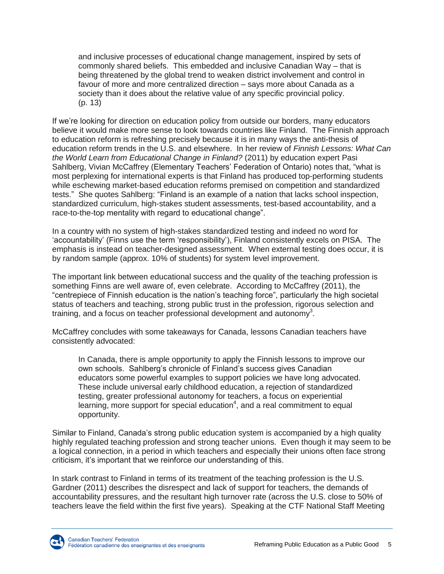and inclusive processes of educational change management, inspired by sets of commonly shared beliefs. This embedded and inclusive Canadian Way – that is being threatened by the global trend to weaken district involvement and control in favour of more and more centralized direction – says more about Canada as a society than it does about the relative value of any specific provincial policy. (p. 13)

If we're looking for direction on education policy from outside our borders, many educators believe it would make more sense to look towards countries like Finland. The Finnish approach to education reform is refreshing precisely because it is in many ways the anti-thesis of education reform trends in the U.S. and elsewhere. In her review of *Finnish Lessons: What Can the World Learn from Educational Change in Finland?* (2011) by education expert Pasi Sahlberg, Vivian McCaffrey (Elementary Teachers' Federation of Ontario) notes that, "what is most perplexing for international experts is that Finland has produced top-performing students while eschewing market-based education reforms premised on competition and standardized tests." She quotes Sahlberg: "Finland is an example of a nation that lacks school inspection, standardized curriculum, high-stakes student assessments, test-based accountability, and a race-to-the-top mentality with regard to educational change".

In a country with no system of high-stakes standardized testing and indeed no word for 'accountability' (Finns use the term 'responsibility'), Finland consistently excels on PISA. The emphasis is instead on teacher-designed assessment. When external testing does occur, it is by random sample (approx. 10% of students) for system level improvement.

The important link between educational success and the quality of the teaching profession is something Finns are well aware of, even celebrate. According to McCaffrey (2011), the "centrepiece of Finnish education is the nation's teaching force", particularly the high societal status of teachers and teaching, strong public trust in the profession, rigorous selection and training, and a focus on teacher professional development and autonomy<sup>3</sup>.

McCaffrey concludes with some takeaways for Canada, lessons Canadian teachers have consistently advocated:

In Canada, there is ample opportunity to apply the Finnish lessons to improve our own schools. Sahlberg's chronicle of Finland's success gives Canadian educators some powerful examples to support policies we have long advocated. These include universal early childhood education, a rejection of standardized testing, greater professional autonomy for teachers, a focus on experiential learning, more support for special education<sup>4</sup>, and a real commitment to equal opportunity.

Similar to Finland, Canada's strong public education system is accompanied by a high quality highly regulated teaching profession and strong teacher unions. Even though it may seem to be a logical connection, in a period in which teachers and especially their unions often face strong criticism, it's important that we reinforce our understanding of this.

In stark contrast to Finland in terms of its treatment of the teaching profession is the U.S. Gardner (2011) describes the disrespect and lack of support for teachers, the demands of accountability pressures, and the resultant high turnover rate (across the U.S. close to 50% of teachers leave the field within the first five years). Speaking at the CTF National Staff Meeting

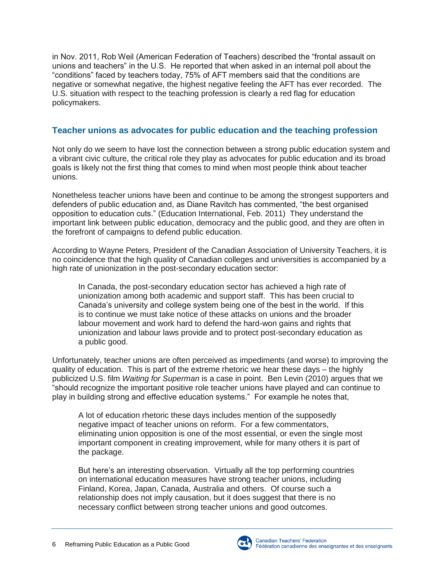in Nov. 2011, Rob Weil (American Federation of Teachers) described the "frontal assault on unions and teachers" in the U.S. He reported that when asked in an internal poll about the "conditions" faced by teachers today, 75% of AFT members said that the conditions are negative or somewhat negative, the highest negative feeling the AFT has ever recorded. The U.S. situation with respect to the teaching profession is clearly a red flag for education policymakers.

#### **Teacher unions as advocates for public education and the teaching profession**

Not only do we seem to have lost the connection between a strong public education system and a vibrant civic culture, the critical role they play as advocates for public education and its broad goals is likely not the first thing that comes to mind when most people think about teacher unions.

Nonetheless teacher unions have been and continue to be among the strongest supporters and defenders of public education and, as Diane Ravitch has commented, "the best organised opposition to education cuts." (Education International, Feb. 2011) They understand the important link between public education, democracy and the public good, and they are often in the forefront of campaigns to defend public education.

According to Wayne Peters, President of the Canadian Association of University Teachers, it is no coincidence that the high quality of Canadian colleges and universities is accompanied by a high rate of unionization in the post-secondary education sector:

In Canada, the post-secondary education sector has achieved a high rate of unionization among both academic and support staff. This has been crucial to Canada's university and college system being one of the best in the world. If this is to continue we must take notice of these attacks on unions and the broader labour movement and work hard to defend the hard-won gains and rights that unionization and labour laws provide and to protect post-secondary education as a public good.

Unfortunately, teacher unions are often perceived as impediments (and worse) to improving the quality of education. This is part of the extreme rhetoric we hear these days – the highly publicized U.S. film *Waiting for Superman* is a case in point. Ben Levin (2010) argues that we "should recognize the important positive role teacher unions have played and can continue to play in building strong and effective education systems." For example he notes that,

A lot of education rhetoric these days includes mention of the supposedly negative impact of teacher unions on reform. For a few commentators, eliminating union opposition is one of the most essential, or even the single most important component in creating improvement, while for many others it is part of the package.

But here's an interesting observation. Virtually all the top performing countries on international education measures have strong teacher unions, including Finland, Korea, Japan, Canada, Australia and others. Of course such a relationship does not imply causation, but it does suggest that there is no necessary conflict between strong teacher unions and good outcomes.



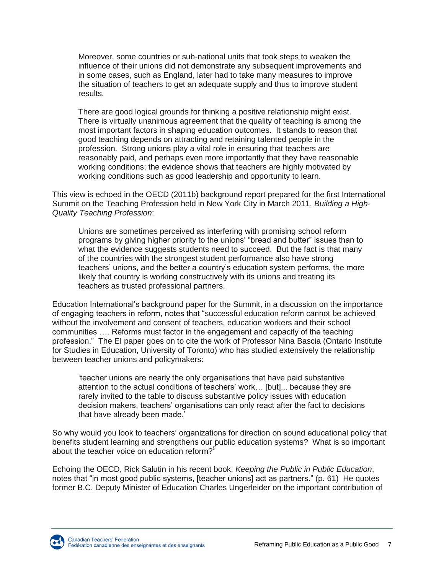Moreover, some countries or sub-national units that took steps to weaken the influence of their unions did not demonstrate any subsequent improvements and in some cases, such as England, later had to take many measures to improve the situation of teachers to get an adequate supply and thus to improve student results.

There are good logical grounds for thinking a positive relationship might exist. There is virtually unanimous agreement that the quality of teaching is among the most important factors in shaping education outcomes. It stands to reason that good teaching depends on attracting and retaining talented people in the profession. Strong unions play a vital role in ensuring that teachers are reasonably paid, and perhaps even more importantly that they have reasonable working conditions; the evidence shows that teachers are highly motivated by working conditions such as good leadership and opportunity to learn.

This view is echoed in the OECD (2011b) background report prepared for the first International Summit on the Teaching Profession held in New York City in March 2011, *Building a High-Quality Teaching Profession*:

Unions are sometimes perceived as interfering with promising school reform programs by giving higher priority to the unions' "bread and butter" issues than to what the evidence suggests students need to succeed. But the fact is that many of the countries with the strongest student performance also have strong teachers' unions, and the better a country's education system performs, the more likely that country is working constructively with its unions and treating its teachers as trusted professional partners.

[Education International's background paper for the Summit,](http://download.ei-ie.org/Docs/WebDepot/EI%20NYSU%20Brochure_print.pdf) in a discussion on the importance of engaging teachers in reform, notes that "successful education reform cannot be achieved without the involvement and consent of teachers, education workers and their school communities …. Reforms must factor in the engagement and capacity of the teaching profession." The EI paper goes on to cite the work of Professor Nina Bascia (Ontario Institute for Studies in Education, University of Toronto) who has studied extensively the relationship between teacher unions and policymakers:

'teacher unions are nearly the only organisations that have paid substantive attention to the actual conditions of teachers' work… [but]... because they are rarely invited to the table to discuss substantive policy issues with education decision makers, teachers' organisations can only react after the fact to decisions that have already been made.'

So why would you look to teachers' organizations for direction on sound educational policy that benefits student learning and strengthens our public education systems? What is so important about the teacher voice on education reform?<sup>5</sup>

Echoing the OECD, Rick Salutin in his recent book, *Keeping the Public in Public Education*, notes that "in most good public systems, [teacher unions] act as partners." (p. 61) He quotes former B.C. Deputy Minister of Education Charles Ungerleider on the important contribution of

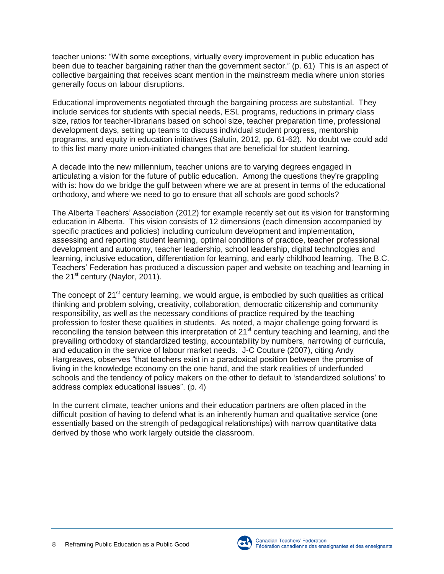teacher unions: "With some exceptions, virtually every improvement in public education has been due to teacher bargaining rather than the government sector." (p. 61) This is an aspect of collective bargaining that receives scant mention in the mainstream media where union stories generally focus on labour disruptions.

Educational improvements negotiated through the bargaining process are substantial. They include services for students with special needs, ESL programs, reductions in primary class size, ratios for teacher-librarians based on school size, teacher preparation time, professional development days, setting up teams to discuss individual student progress, mentorship programs, and equity in education initiatives (Salutin, 2012, pp. 61-62). No doubt we could add to this list many more union-initiated changes that are beneficial for student learning.

A decade into the new millennium, teacher unions are to varying degrees engaged in articulating a vision for the future of public education. Among the questions they're grappling with is: how do we bridge the gulf between where we are at present in terms of the educational orthodoxy, and where we need to go to ensure that all schools are good schools?

The Alberta Teachers' Association (2012) for example recently set out its vision for transforming education in Alberta. This vision consists of 12 dimensions (each dimension accompanied by specific practices and policies) including curriculum development and implementation, assessing and reporting student learning, optimal conditions of practice, teacher professional development and autonomy, teacher leadership, school leadership, digital technologies and learning, inclusive education, differentiation for learning, and early childhood learning. The B.C. Teachers' Federation has produced a discussion paper and website on teaching and learning in the  $21^{st}$  century (Naylor, 2011).

The concept of 21<sup>st</sup> century learning, we would argue, is embodied by such qualities as critical thinking and problem solving, creativity, collaboration, democratic citizenship and community responsibility, as well as the necessary conditions of practice required by the teaching profession to foster these qualities in students. As noted, a major challenge going forward is reconciling the tension between this interpretation of 21<sup>st</sup> century teaching and learning, and the prevailing orthodoxy of standardized testing, accountability by numbers, narrowing of curricula, and education in the service of labour market needs. J-C Couture (2007), citing Andy Hargreaves, observes "that teachers exist in a paradoxical position between the promise of living in the knowledge economy on the one hand, and the stark realities of underfunded schools and the tendency of policy makers on the other to default to 'standardized solutions' to address complex educational issues". (p. 4)

In the current climate, teacher unions and their education partners are often placed in the difficult position of having to defend what is an inherently human and qualitative service (one essentially based on the strength of pedagogical relationships) with narrow quantitative data derived by those who work largely outside the classroom.

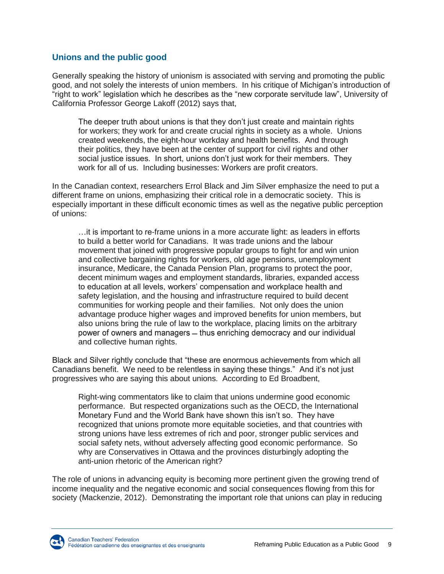#### **Unions and the public good**

Generally speaking the history of unionism is associated with serving and promoting the public good, and not solely the interests of union members. In his critique of Michigan's introduction of "right to work" legislation which he describes as the "new corporate servitude law", University of California Professor George Lakoff (2012) says that,

The deeper truth about unions is that they don't just create and maintain rights for workers; they work for and create crucial rights in society as a whole. Unions created weekends, the eight-hour workday and health benefits. And through their politics, they have been at the center of support for civil rights and other social justice issues. In short, unions don't just work for their members. They work for all of us. Including businesses: Workers are profit creators.

In the Canadian context, researchers Errol Black and Jim Silver emphasize the need to put a different frame on unions, emphasizing their critical role in a democratic society. This is especially important in these difficult economic times as well as the negative public perception of unions:

…it is important to re-frame unions in a more accurate light: as leaders in efforts to build a better world for Canadians. It was trade unions and the labour movement that joined with progressive popular groups to fight for and win union and collective bargaining rights for workers, old age pensions, unemployment insurance, Medicare, the Canada Pension Plan, programs to protect the poor, decent minimum wages and employment standards, libraries, expanded access to education at all levels, workers' compensation and workplace health and safety legislation, and the housing and infrastructure required to build decent communities for working people and their families. Not only does the union advantage produce higher wages and improved benefits for union members, but also unions bring the rule of law to the workplace, placing limits on the arbitrary power of owners and managers – thus enriching democracy and our individual and collective human rights.

Black and Silver rightly conclude that "these are enormous achievements from which all Canadians benefit. We need to be relentless in saying these things." And it's not just progressives who are saying this about unions. According to Ed Broadbent,

Right-wing commentators like to claim that unions undermine good economic performance. But respected organizations such as the OECD, the International Monetary Fund and the World Bank have shown this isn't so. They have recognized that unions promote more equitable societies, and that countries with strong unions have less extremes of rich and poor, stronger public services and social safety nets, without adversely affecting good economic performance. So why are Conservatives in Ottawa and the provinces disturbingly adopting the anti-union rhetoric of the American right?

The role of unions in advancing equity is becoming more pertinent given the growing trend of income inequality and the negative economic and social consequences flowing from this for society (Mackenzie, 2012). Demonstrating the important role that unions can play in reducing

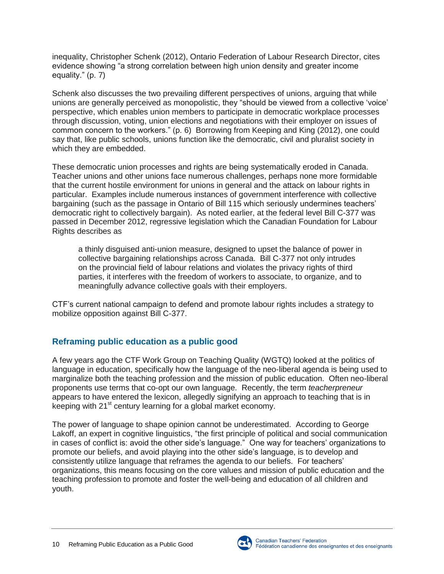inequality, Christopher Schenk (2012), Ontario Federation of Labour Research Director, cites evidence showing "a strong correlation between high union density and greater income equality." (p. 7)

Schenk also discusses the two prevailing different perspectives of unions, arguing that while unions are generally perceived as monopolistic, they "should be viewed from a collective 'voice' perspective, which enables union members to participate in democratic workplace processes through discussion, voting, union elections and negotiations with their employer on issues of common concern to the workers." (p. 6) Borrowing from Keeping and King (2012), one could say that, like public schools, unions function like the democratic, civil and pluralist society in which they are embedded.

These democratic union processes and rights are being systematically eroded in Canada. Teacher unions and other unions face numerous challenges, perhaps none more formidable that the current hostile environment for unions in general and the attack on labour rights in particular. Examples include numerous instances of government interference with collective bargaining (such as the passage in Ontario of Bill 115 which seriously undermines teachers' democratic right to collectively bargain). As noted earlier, at the federal level Bill C-377 was passed in December 2012, regressive legislation which the Canadian Foundation for Labour Rights describes as

a thinly disguised anti-union measure, designed to upset the balance of power in collective bargaining relationships across Canada. Bill C-377 not only intrudes on the provincial field of labour relations and violates the privacy rights of third parties, it interferes with the freedom of workers to associate, to organize, and to meaningfully advance collective goals with their employers.

CTF's current national campaign to defend and promote labour rights includes a strategy to mobilize opposition against Bill C-377.

### **Reframing public education as a public good**

A few years ago the CTF Work Group on Teaching Quality (WGTQ) looked at the politics of language in education, specifically how the language of the neo-liberal agenda is being used to marginalize both the teaching profession and the mission of public education. Often neo-liberal proponents use terms that co-opt our own language. Recently, the term *teacherpreneur* appears to have entered the lexicon, allegedly signifying an approach to teaching that is in keeping with 21<sup>st</sup> century learning for a global market economy.

The power of language to shape opinion cannot be underestimated. According to George Lakoff, an expert in cognitive linguistics, "the first principle of political and social communication in cases of conflict is: avoid the other side's language." One way for teachers' organizations to promote our beliefs, and avoid playing into the other side's language, is to develop and consistently utilize language that reframes the agenda to our beliefs. For teachers' organizations, this means focusing on the core values and mission of public education and the teaching profession to promote and foster the well-being and education of all children and youth.

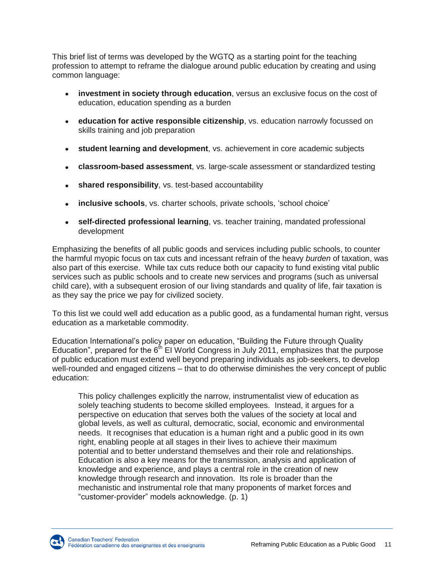This brief list of terms was developed by the WGTQ as a starting point for the teaching profession to attempt to reframe the dialogue around public education by creating and using common language:

- **investment in society through education**, versus an exclusive focus on the cost of education, education spending as a burden
- **education for active responsible citizenship**, vs. education narrowly focussed on skills training and job preparation
- **student learning and development**, vs. achievement in core academic subjects
- **classroom-based assessment**, vs. large-scale assessment or standardized testing
- **shared responsibility**, vs. test-based accountability
- **inclusive schools**, vs. charter schools, private schools, 'school choice'
- **self-directed professional learning**, vs. teacher training, mandated professional development

Emphasizing the benefits of all public goods and services including public schools, to counter the harmful myopic focus on tax cuts and incessant refrain of the heavy *burden* of taxation, was also part of this exercise. While tax cuts reduce both our capacity to fund existing vital public services such as public schools and to create new services and programs (such as universal child care), with a subsequent erosion of our living standards and quality of life, fair taxation is as they say the price we pay for civilized society.

To this list we could well add education as a public good, as a fundamental human right, versus education as a marketable commodity.

Education International's policy paper on education, "Building the Future through Quality Education", prepared for the  $6<sup>th</sup>$  EI World Congress in July 2011, emphasizes that the purpose of public education must extend well beyond preparing individuals as job-seekers, to develop well-rounded and engaged citizens – that to do otherwise diminishes the very concept of public education:

This policy challenges explicitly the narrow, instrumentalist view of education as solely teaching students to become skilled employees. Instead, it argues for a perspective on education that serves both the values of the society at local and global levels, as well as cultural, democratic, social, economic and environmental needs. It recognises that education is a human right and a public good in its own right, enabling people at all stages in their lives to achieve their maximum potential and to better understand themselves and their role and relationships. Education is also a key means for the transmission, analysis and application of knowledge and experience, and plays a central role in the creation of new knowledge through research and innovation. Its role is broader than the mechanistic and instrumental role that many proponents of market forces and "customer-provider" models acknowledge. (p. 1)

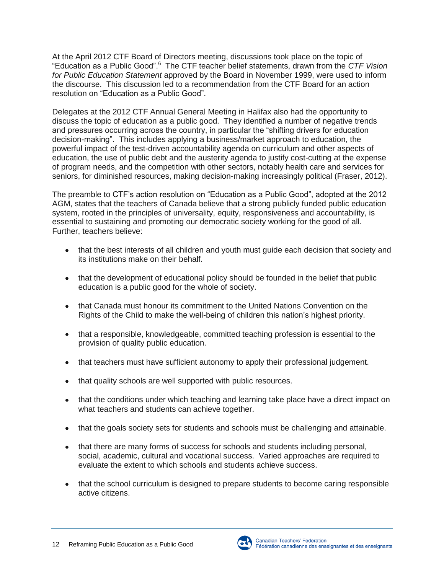At the April 2012 CTF Board of Directors meeting, discussions took place on the topic of "Education as a Public Good".<sup>6</sup> The CTF teacher belief statements, drawn from the *CTF Vision for Public Education Statement* approved by the Board in November 1999, were used to inform the discourse. This discussion led to a recommendation from the CTF Board for an action resolution on "Education as a Public Good".

Delegates at the 2012 CTF Annual General Meeting in Halifax also had the opportunity to discuss the topic of education as a public good. They identified a number of negative trends and pressures occurring across the country, in particular the "shifting drivers for education decision-making". This includes applying a business/market approach to education, the powerful impact of the test-driven accountability agenda on curriculum and other aspects of education, the use of public debt and the austerity agenda to justify cost-cutting at the expense of program needs, and the competition with other sectors, notably health care and services for seniors, for diminished resources, making decision-making increasingly political (Fraser, 2012).

The preamble to CTF's action resolution on "Education as a Public Good", adopted at the 2012 AGM, states that the teachers of Canada believe that a strong publicly funded public education system, rooted in the principles of universality, equity, responsiveness and accountability, is essential to sustaining and promoting our democratic society working for the good of all. Further, teachers believe:

- that the best interests of all children and youth must guide each decision that society and its institutions make on their behalf.
- that the development of educational policy should be founded in the belief that public education is a public good for the whole of society.
- that Canada must honour its commitment to the United Nations Convention on the Rights of the Child to make the well-being of children this nation's highest priority.
- that a responsible, knowledgeable, committed teaching profession is essential to the provision of quality public education.
- that teachers must have sufficient autonomy to apply their professional judgement.
- that quality schools are well supported with public resources.
- that the conditions under which teaching and learning take place have a direct impact on what teachers and students can achieve together.
- that the goals society sets for students and schools must be challenging and attainable.
- that there are many forms of success for schools and students including personal, social, academic, cultural and vocational success. Varied approaches are required to evaluate the extent to which schools and students achieve success.
- that the school curriculum is designed to prepare students to become caring responsible active citizens.

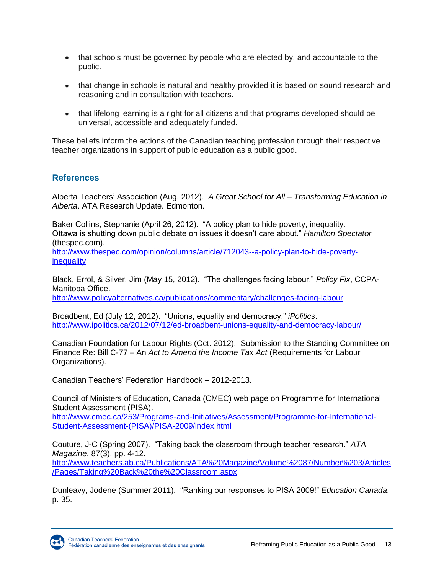- that schools must be governed by people who are elected by, and accountable to the public.
- that change in schools is natural and healthy provided it is based on sound research and reasoning and in consultation with teachers.
- that lifelong learning is a right for all citizens and that programs developed should be universal, accessible and adequately funded.

These beliefs inform the actions of the Canadian teaching profession through their respective teacher organizations in support of public education as a public good.

#### **References**

Alberta Teachers' Association (Aug. 2012). *A Great School for All – Transforming Education in Alberta*. ATA Research Update. Edmonton.

Baker Collins, Stephanie (April 26, 2012). "A policy plan to hide poverty, inequality. Ottawa is shutting down public debate on issues it doesn't care about." *Hamilton Spectator* (thespec.com).

[http://www.thespec.com/opinion/columns/article/712043--a-policy-plan-to-hide-poverty](http://www.thespec.com/opinion/columns/article/712043--a-policy-plan-to-hide-poverty-inequality)[inequality](http://www.thespec.com/opinion/columns/article/712043--a-policy-plan-to-hide-poverty-inequality)

Black, Errol, & Silver, Jim (May 15, 2012). "The challenges facing labour." *Policy Fix*, CCPA-Manitoba Office.

<http://www.policyalternatives.ca/publications/commentary/challenges-facing-labour>

Broadbent, Ed (July 12, 2012). "Unions, equality and democracy." *iPolitics*. <http://www.ipolitics.ca/2012/07/12/ed-broadbent-unions-equality-and-democracy-labour/>

Canadian Foundation for Labour Rights (Oct. 2012). Submission to the Standing Committee on Finance Re: Bill C-77 – An *Act to Amend the Income Tax Act* (Requirements for Labour Organizations).

Canadian Teachers' Federation Handbook – 2012-2013.

Council of Ministers of Education, Canada (CMEC) web page on Programme for International Student Assessment (PISA).

[http://www.cmec.ca/253/Programs-and-Initiatives/Assessment/Programme-for-International-](http://www.cmec.ca/253/Programs-and-Initiatives/Assessment/Programme-for-International-Student-Assessment-(PISA)/PISA-2009/index.html)[Student-Assessment-\(PISA\)/PISA-2009/index.html](http://www.cmec.ca/253/Programs-and-Initiatives/Assessment/Programme-for-International-Student-Assessment-(PISA)/PISA-2009/index.html)

Couture, J-C (Spring 2007). "Taking back the classroom through teacher research." *ATA Magazine*, 87(3), pp. 4-12. [http://www.teachers.ab.ca/Publications/ATA%20Magazine/Volume%2087/Number%203/Articles](http://www.teachers.ab.ca/Publications/ATA%20Magazine/Volume%2087/Number%203/Articles/Pages/Taking%20Back%20the%20Classroom.aspx) [/Pages/Taking%20Back%20the%20Classroom.aspx](http://www.teachers.ab.ca/Publications/ATA%20Magazine/Volume%2087/Number%203/Articles/Pages/Taking%20Back%20the%20Classroom.aspx)

Dunleavy, Jodene (Summer 2011). "Ranking our responses to PISA 2009!" *Education Canada*, p. 35.

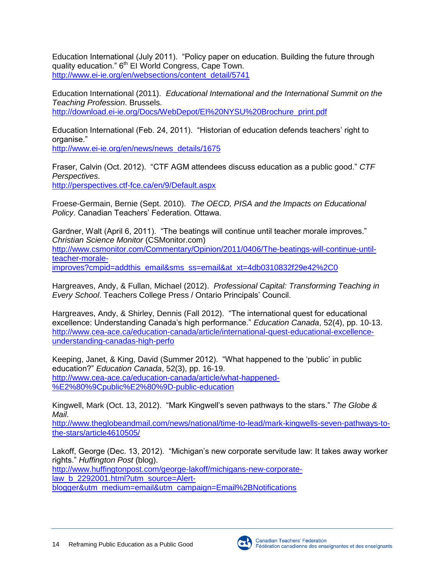Education International (July 2011). "Policy paper on education. Building the future through quality education." 6<sup>th</sup> EI World Congress, Cape Town. [http://www.ei-ie.org/en/websections/content\\_detail/5741](http://www.ei-ie.org/en/websections/content_detail/5741)

Education International (2011). *Educational International and the International Summit on the Teaching Profession*. Brussels. [http://download.ei-ie.org/Docs/WebDepot/EI%20NYSU%20Brochure\\_print.pdf](http://download.ei-ie.org/Docs/WebDepot/EI%20NYSU%20Brochure_print.pdf)

Education International (Feb. 24, 2011). "Historian of education defends teachers' right to organise."

[http://www.ei-ie.org/en/news/news\\_details/1675](http://www.ei-ie.org/en/news/news_details/1675)

Fraser, Calvin (Oct. 2012). "CTF AGM attendees discuss education as a public good." *CTF Perspectives*. <http://perspectives.ctf-fce.ca/en/9/Default.aspx>

Froese-Germain, Bernie (Sept. 2010). *The OECD, PISA and the Impacts on Educational Policy*. Canadian Teachers' Federation. Ottawa.

Gardner, Walt (April 6, 2011). "The beatings will continue until teacher morale improves." *Christian Science Monitor* (CSMonitor.com) [http://www.csmonitor.com/Commentary/Opinion/2011/0406/The-beatings-will-continue-until](http://www.csmonitor.com/Commentary/Opinion/2011/0406/The-beatings-will-continue-until-teacher-morale-improves?cmpid=addthis_email&sms_ss=email&at_xt=4db0310832f29e42%2C0)[teacher-morale](http://www.csmonitor.com/Commentary/Opinion/2011/0406/The-beatings-will-continue-until-teacher-morale-improves?cmpid=addthis_email&sms_ss=email&at_xt=4db0310832f29e42%2C0)[improves?cmpid=addthis\\_email&sms\\_ss=email&at\\_xt=4db0310832f29e42%2C0](http://www.csmonitor.com/Commentary/Opinion/2011/0406/The-beatings-will-continue-until-teacher-morale-improves?cmpid=addthis_email&sms_ss=email&at_xt=4db0310832f29e42%2C0)

Hargreaves, Andy, & Fullan, Michael (2012). *Professional Capital: Transforming Teaching in Every School*. Teachers College Press / Ontario Principals' Council.

Hargreaves, Andy, & Shirley, Dennis (Fall 2012). "The international quest for educational excellence: Understanding Canada's high performance." *Education Canada*, 52(4), pp. 10-13. [http://www.cea-ace.ca/education-canada/article/international-quest-educational-excellence](http://www.cea-ace.ca/education-canada/article/international-quest-educational-excellence-understanding-canadas-high-perfo)[understanding-canadas-high-perfo](http://www.cea-ace.ca/education-canada/article/international-quest-educational-excellence-understanding-canadas-high-perfo)

Keeping, Janet, & King, David (Summer 2012). "What happened to the 'public' in public education?" *Education Canada*, 52(3), pp. 16-19. [http://www.cea-ace.ca/education-canada/article/what-happened-](http://www.cea-ace.ca/education-canada/article/what-happened-%E2%80%9Cpublic%E2%80%9D-public-education) [%E2%80%9Cpublic%E2%80%9D-public-education](http://www.cea-ace.ca/education-canada/article/what-happened-%E2%80%9Cpublic%E2%80%9D-public-education)

Kingwell, Mark (Oct. 13, 2012). "Mark Kingwell's seven pathways to the stars." *The Globe & Mail*.

[http://www.theglobeandmail.com/news/national/time-to-lead/mark-kingwells-seven-pathways-to](http://www.theglobeandmail.com/news/national/time-to-lead/mark-kingwells-seven-pathways-to-the-stars/article4610505/)[the-stars/article4610505/](http://www.theglobeandmail.com/news/national/time-to-lead/mark-kingwells-seven-pathways-to-the-stars/article4610505/)

Lakoff, George (Dec. 13, 2012). "Michigan's new corporate servitude law: It takes away worker rights." *Huffington Post* (blog). [http://www.huffingtonpost.com/george-lakoff/michigans-new-corporate-](http://www.huffingtonpost.com/george-lakoff/michigans-new-corporate-law_b_2292001.html?utm_source=Alert-blogger&utm_medium=email&utm_campaign=Email%2BNotifications)

[law\\_b\\_2292001.html?utm\\_source=Alert-](http://www.huffingtonpost.com/george-lakoff/michigans-new-corporate-law_b_2292001.html?utm_source=Alert-blogger&utm_medium=email&utm_campaign=Email%2BNotifications)

[blogger&utm\\_medium=email&utm\\_campaign=Email%2BNotifications](http://www.huffingtonpost.com/george-lakoff/michigans-new-corporate-law_b_2292001.html?utm_source=Alert-blogger&utm_medium=email&utm_campaign=Email%2BNotifications)

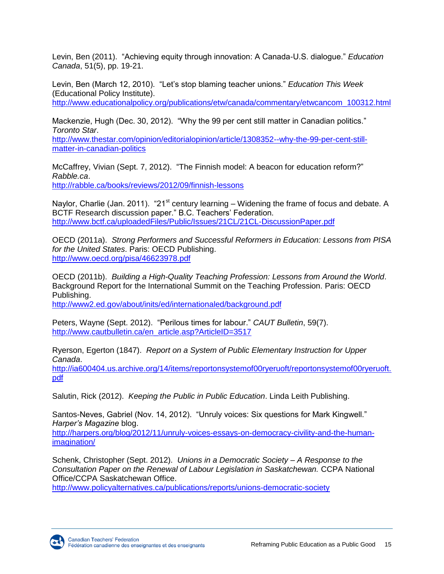Levin, Ben (2011). "Achieving equity through innovation: A Canada-U.S. dialogue." *Education Canada*, 51(5), pp. 19-21.

Levin, Ben (March 12, 2010). "Let's stop blaming teacher unions." *Education This Week* (Educational Policy Institute). [http://www.educationalpolicy.org/publications/etw/canada/commentary/etwcancom\\_100312.html](http://www.educationalpolicy.org/publications/etw/canada/commentary/etwcancom_100312.html)

Mackenzie, Hugh (Dec. 30, 2012). "Why the 99 per cent still matter in Canadian politics." *Toronto Star*.

[http://www.thestar.com/opinion/editorialopinion/article/1308352--why-the-99-per-cent-still](http://www.thestar.com/opinion/editorialopinion/article/1308352--why-the-99-per-cent-still-matter-in-canadian-politics)[matter-in-canadian-politics](http://www.thestar.com/opinion/editorialopinion/article/1308352--why-the-99-per-cent-still-matter-in-canadian-politics)

McCaffrey, Vivian (Sept. 7, 2012). "The Finnish model: A beacon for education reform?" *Rabble.ca*. <http://rabble.ca/books/reviews/2012/09/finnish-lessons>

Naylor, Charlie (Jan. 2011). "21<sup>st</sup> century learning – Widening the frame of focus and debate. A BCTF Research discussion paper." B.C. Teachers' Federation. <http://www.bctf.ca/uploadedFiles/Public/Issues/21CL/21CL-DiscussionPaper.pdf>

OECD (2011a). *Strong Performers and Successful Reformers in Education: Lessons from PISA for the United States*. Paris: OECD Publishing. <http://www.oecd.org/pisa/46623978.pdf>

OECD (2011b). *Building a High-Quality Teaching Profession: Lessons from Around the World*. Background Report for the International Summit on the Teaching Profession. Paris: OECD Publishing.

<http://www2.ed.gov/about/inits/ed/internationaled/background.pdf>

Peters, Wayne (Sept. 2012). "Perilous times for labour." *CAUT Bulletin*, 59(7). [http://www.cautbulletin.ca/en\\_article.asp?ArticleID=3517](http://www.cautbulletin.ca/en_article.asp?ArticleID=3517)

Ryerson, Egerton (1847). *Report on a System of Public Elementary Instruction for Upper Canada*.

[http://ia600404.us.archive.org/14/items/reportonsystemof00ryeruoft/reportonsystemof00ryeruoft.](http://ia600404.us.archive.org/14/items/reportonsystemof00ryeruoft/reportonsystemof00ryeruoft.pdf) [pdf](http://ia600404.us.archive.org/14/items/reportonsystemof00ryeruoft/reportonsystemof00ryeruoft.pdf)

Salutin, Rick (2012). *Keeping the Public in Public Education*. Linda Leith Publishing.

Santos-Neves, Gabriel (Nov. 14, 2012). "Unruly voices: Six questions for Mark Kingwell." *Harper's Magazine* blog.

[http://harpers.org/blog/2012/11/unruly-voices-essays-on-democracy-civility-and-the-human](http://harpers.org/blog/2012/11/unruly-voices-essays-on-democracy-civility-and-the-human-imagination/)[imagination/](http://harpers.org/blog/2012/11/unruly-voices-essays-on-democracy-civility-and-the-human-imagination/)

Schenk, Christopher (Sept. 2012). *Unions in a Democratic Society – A Response to the Consultation Paper on the Renewal of Labour Legislation in Saskatchewan.* CCPA National Office/CCPA Saskatchewan Office.

<http://www.policyalternatives.ca/publications/reports/unions-democratic-society>